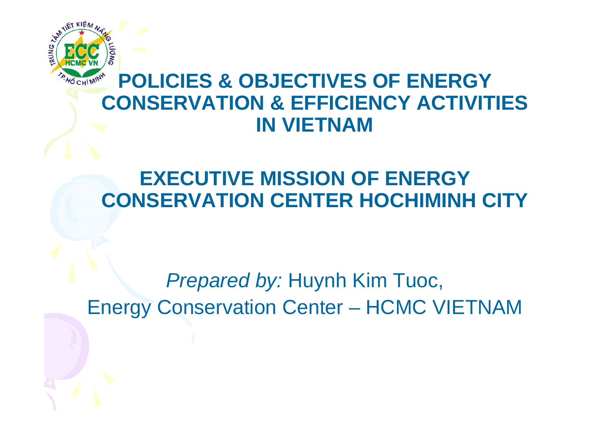

### **POLICIES & OBJECTIVES OF ENERGY CONSERVATION & EFFICIENCY ACTIVITIES IN VIETNAM**

### **EXECUTIVE MISSION OF ENERGY CONSERVATION CENTER HOCHIMINH CITY**

## *Prepared by:* Huynh Kim Tuoc, Energy Conservation Center – HCMC VIETNAM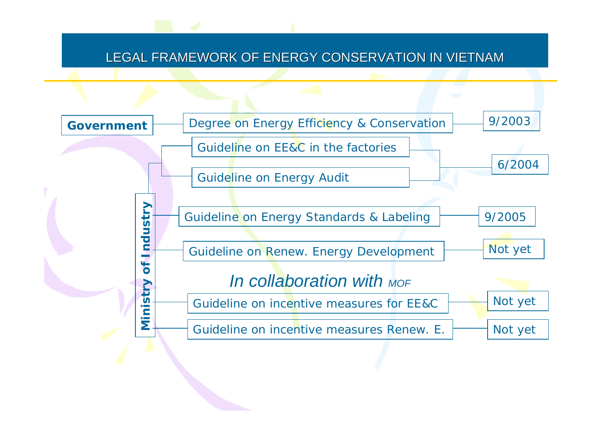#### LEGAL FRAMEWORK OF ENERGY CONSERVATION IN VIETNAM

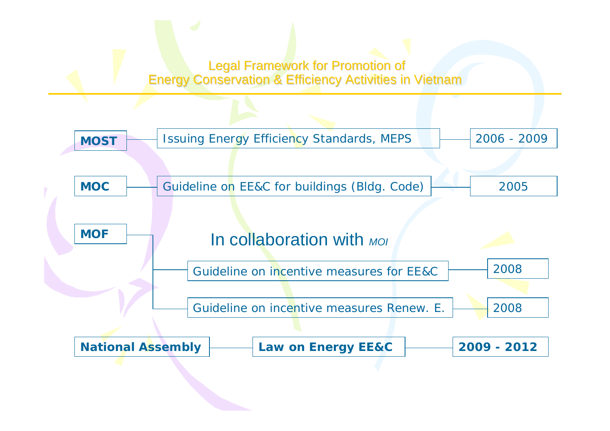Legal Framework for Promotion of Energy Conservation & Efficiency Activities in Vietnam

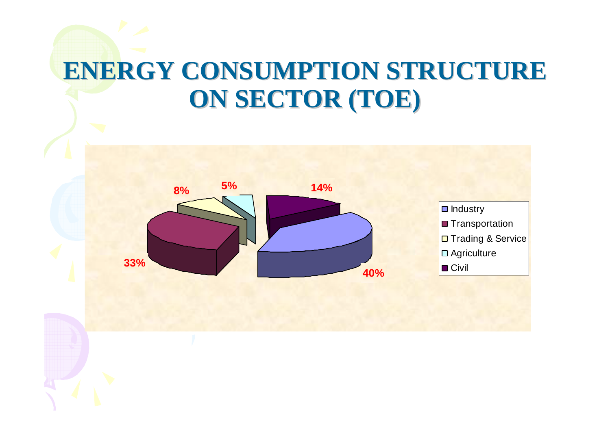# **ENERGY CONSUMPTION STRUCTURE ON SECTOR (TOE) ON SECTOR (TOE)**

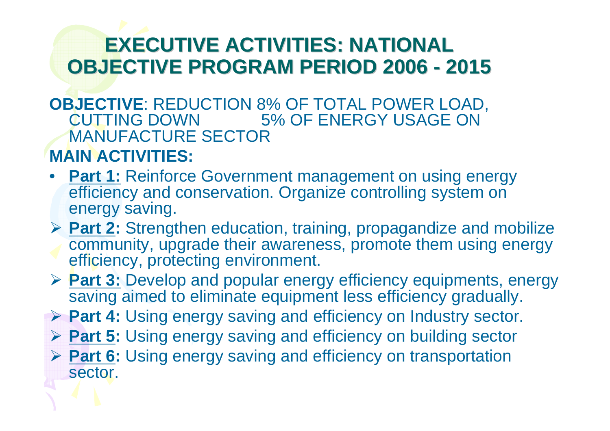## **EXECUTIVE ACTIVITIES: NATIONAL OBJECTIVE PROGRAM PERIOD 2006 - 2015**

**OBJECTIVE**: REDUCTION 8% OF TOTAL POWER LOAD, CUTTING DOWN 5% OF ENERGY USAGE ON MANUFACTURE SECTOR

#### **MAIN ACTIVITIES:**

- •**Part 1:** Reinforce Government management on using energy efficiency and conservation. Organize controlling system on energy saving.
- ¾ **Part 2:** Strengthen education, training, propagandize and mobilize community, upgrade their awareness, promote them using energy efficiency, protecting environment.
- ¾ **Part 3:** Develop and popular energy efficiency equipments, energy saving aimed to eliminate equipment less efficiency gradually.
- ¾ **Part 4:** Using energy saving and efficiency on Industry sector.
- ¾ **Part 5:** Using energy saving and efficiency on building sector
- ¾ **Part 6:** Using energy saving and efficiency on transportation sector.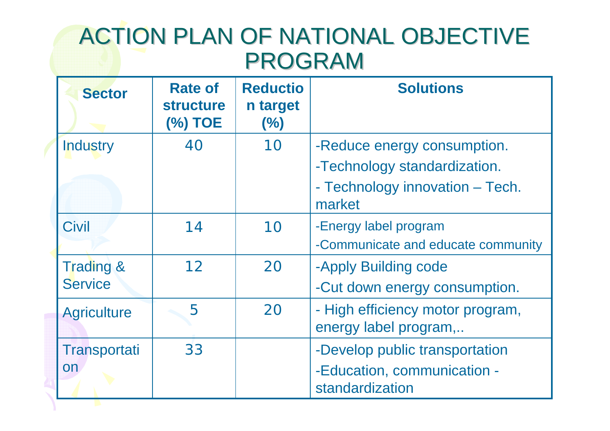# ACTION PLAN OF NATIONAL OBJECTIVE PROGRAM

| <b>Sector</b>        | <b>Rate of</b><br><b>structure</b><br>$(\%)$ TOE | <b>Reductio</b><br>n target<br>(%) | <b>Solutions</b>                                          |
|----------------------|--------------------------------------------------|------------------------------------|-----------------------------------------------------------|
| <b>Industry</b>      | 40                                               | 10                                 | -Reduce energy consumption.                               |
|                      |                                                  |                                    | -Technology standardization.                              |
|                      |                                                  |                                    | - Technology innovation – Tech.<br>market                 |
| Civil                | 14                                               | 10                                 | -Energy label program                                     |
|                      |                                                  |                                    | -Communicate and educate community                        |
| <b>Trading &amp;</b> | 12                                               | 20                                 | -Apply Building code                                      |
| <b>Service</b>       |                                                  |                                    | -Cut down energy consumption.                             |
| <b>Agriculture</b>   | 5                                                | 20                                 | - High efficiency motor program,<br>energy label program, |
| <b>Transportati</b>  | 33                                               |                                    | -Develop public transportation                            |
| on                   |                                                  |                                    | -Education, communication -<br>standardization            |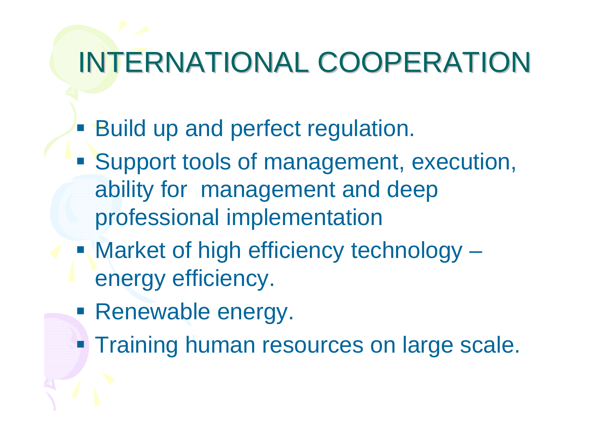# INTERNATIONAL COOPERATION

- **Build up and perfect regulation.**
- Support tools of management, execution, ability for management and deep professional implementation
- **Narket of high efficiency technology** energy efficiency.
- **Renewable energy.**
- **Training human resources on large scale.**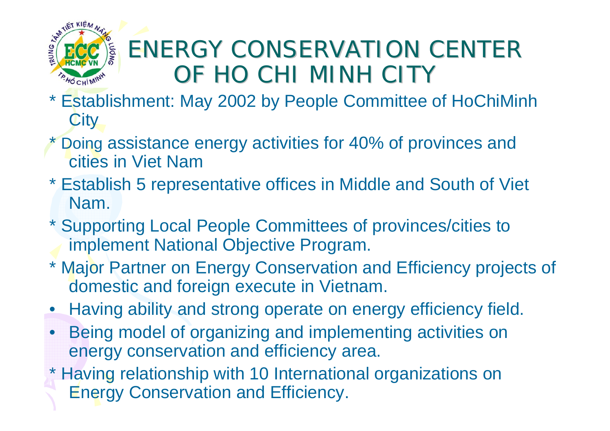

# ENERGY CONSERVATION CENTER OF HO CHI MINH CITY

- \* Establishment: May 2002 by People Committee of HoChiMinh **City**
- Doing assistance energy activities for 40% of provinces and cities in Viet Nam
- \* Establish 5 representative offices in Middle and South of Viet Nam.
- \* Supporting Local People Committees of provinces/cities to implement National Objective Program.
- \* Major Partner on Energy Conservation and Efficiency projects of domestic and foreign execute in Vietnam.
- •Having ability and strong operate on energy efficiency field.
- • Being model of organizing and implementing activities on energy conservation and efficiency area.
- \* Having relationship with 10 International organizations on Energy Conservation and Efficiency.